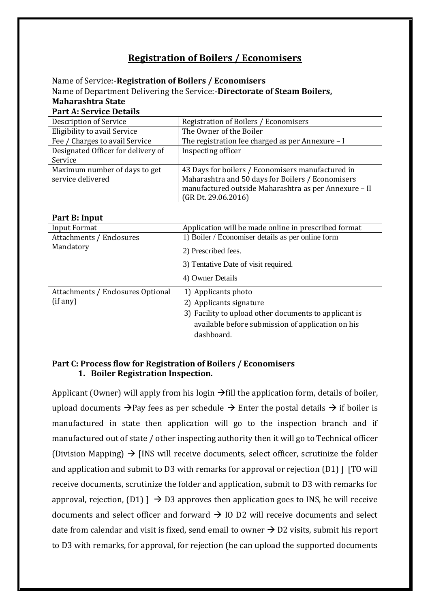# **Registration of Boilers / Economisers**

Name of Service:-**Registration of Boilers / Economisers** Name of Department Delivering the Service:-**Directorate of Steam Boilers, Maharashtra State Part A: Service Details**

| <b>Description of Service</b>      | Registration of Boilers / Economisers                 |  |  |
|------------------------------------|-------------------------------------------------------|--|--|
| Eligibility to avail Service       | The Owner of the Boiler                               |  |  |
| Fee / Charges to avail Service     | The registration fee charged as per Annexure – I      |  |  |
| Designated Officer for delivery of | Inspecting officer                                    |  |  |
| Service                            |                                                       |  |  |
| Maximum number of days to get      | 43 Days for boilers / Economisers manufactured in     |  |  |
| service delivered                  | Maharashtra and 50 days for Boilers / Economisers     |  |  |
|                                    | manufactured outside Maharashtra as per Annexure - II |  |  |
|                                    | $(GR\,Dt. 29.06.2016)$                                |  |  |

#### **Part B: Input**

| <b>Input Format</b>                           | Application will be made online in prescribed format                                                                                                                       |
|-----------------------------------------------|----------------------------------------------------------------------------------------------------------------------------------------------------------------------------|
| Attachments / Enclosures<br>Mandatory         | 1) Boiler / Economiser details as per online form<br>2) Prescribed fees.<br>3) Tentative Date of visit required.<br>4) Owner Details                                       |
| Attachments / Enclosures Optional<br>(if any) | 1) Applicants photo<br>2) Applicants signature<br>3) Facility to upload other documents to applicant is<br>available before submission of application on his<br>dashboard. |

#### **Part C: Process flow for Registration of Boilers / Economisers 1. Boiler Registration Inspection.**

Applicant (Owner) will apply from his login  $\rightarrow$  fill the application form, details of boiler, upload documents  $\rightarrow$  Pay fees as per schedule  $\rightarrow$  Enter the postal details  $\rightarrow$  if boiler is manufactured in state then application will go to the inspection branch and if manufactured out of state / other inspecting authority then it will go to Technical officer (Division Mapping)  $\rightarrow$  [INS will receive documents, select officer, scrutinize the folder and application and submit to D3 with remarks for approval or rejection (D1) ] [TO will receive documents, scrutinize the folder and application, submit to D3 with remarks for approval, rejection,  $(D1)$   $\rightarrow$  D3 approves then application goes to INS, he will receive documents and select officer and forward  $\rightarrow$  IO D2 will receive documents and select date from calendar and visit is fixed, send email to owner  $\rightarrow$  D2 visits, submit his report to D3 with remarks, for approval, for rejection (he can upload the supported documents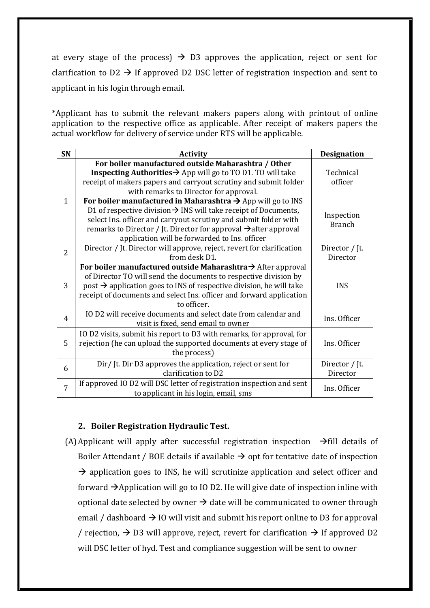at every stage of the process)  $\rightarrow$  D3 approves the application, reject or sent for clarification to D2  $\rightarrow$  If approved D2 DSC letter of registration inspection and sent to applicant in his login through email.

\*Applicant has to submit the relevant makers papers along with printout of online application to the respective office as applicable. After receipt of makers papers the actual workflow for delivery of service under RTS will be applicable.

| SN             | <b>Activity</b>                                                                                                                                                                                                                                                                                                                                             | <b>Designation</b>          |
|----------------|-------------------------------------------------------------------------------------------------------------------------------------------------------------------------------------------------------------------------------------------------------------------------------------------------------------------------------------------------------------|-----------------------------|
| 1              | For boiler manufactured outside Maharashtra / Other<br><b>Inspecting Authorities <math>\rightarrow</math></b> App will go to TO D1. TO will take<br>receipt of makers papers and carryout scrutiny and submit folder<br>with remarks to Director for approval.                                                                                              | Technical<br>officer        |
|                | For boiler manufactured in Maharashtra $\rightarrow$ App will go to INS<br>D1 of respective division $\rightarrow$ INS will take receipt of Documents,<br>select Ins. officer and carryout scrutiny and submit folder with<br>remarks to Director / Jt. Director for approval $\rightarrow$ after approval<br>application will be forwarded to Ins. officer | Inspection<br><b>Branch</b> |
| $\overline{2}$ | Director / Jt. Director will approve, reject, revert for clarification<br>from desk D1.                                                                                                                                                                                                                                                                     | Director / Jt.<br>Director  |
| 3              | For boiler manufactured outside Maharashtra $\rightarrow$ After approval<br>of Director TO will send the documents to respective division by<br>post → application goes to INS of respective division, he will take<br>receipt of documents and select Ins. officer and forward application<br>to officer.                                                  | <b>INS</b>                  |
| $\overline{4}$ | IO D2 will receive documents and select date from calendar and<br>visit is fixed, send email to owner                                                                                                                                                                                                                                                       | Ins. Officer                |
| 5              | IO D2 visits, submit his report to D3 with remarks, for approval, for<br>rejection (he can upload the supported documents at every stage of<br>the process)                                                                                                                                                                                                 | Ins. Officer                |
| 6              | Dir/Jt. Dir D3 approves the application, reject or sent for<br>clarification to D2                                                                                                                                                                                                                                                                          | Director / Jt.<br>Director  |
| 7              | If approved IO D2 will DSC letter of registration inspection and sent<br>to applicant in his login, email, sms                                                                                                                                                                                                                                              | Ins. Officer                |

#### **2. Boiler Registration Hydraulic Test.**

(A) Applicant will apply after successful registration inspection  $\rightarrow$  fill details of Boiler Attendant / BOE details if available  $\rightarrow$  opt for tentative date of inspection  $\rightarrow$  application goes to INS, he will scrutinize application and select officer and forward  $\rightarrow$  Application will go to IO D2. He will give date of inspection inline with optional date selected by owner  $\rightarrow$  date will be communicated to owner through email / dashboard  $\rightarrow$  IO will visit and submit his report online to D3 for approval / rejection,  $\rightarrow$  D3 will approve, reject, revert for clarification  $\rightarrow$  If approved D2 will DSC letter of hyd. Test and compliance suggestion will be sent to owner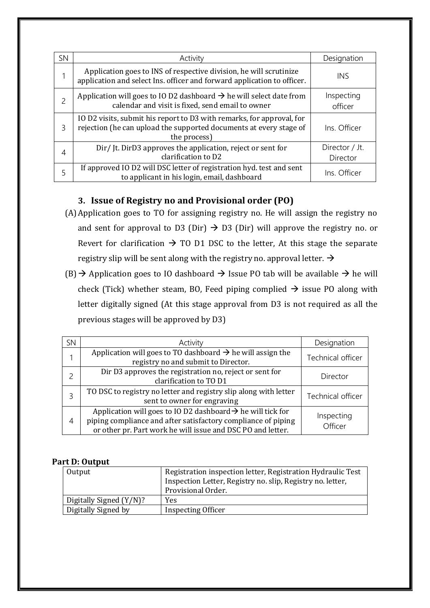| SN | Activity                                                                                                                                                    | Designation                |
|----|-------------------------------------------------------------------------------------------------------------------------------------------------------------|----------------------------|
|    | Application goes to INS of respective division, he will scrutinize<br>application and select Ins. officer and forward application to officer.               | INS                        |
| 2  | Application will goes to IO D2 dashboard $\rightarrow$ he will select date from<br>calendar and visit is fixed, send email to owner                         | Inspecting<br>officer      |
| 3  | IO D2 visits, submit his report to D3 with remarks, for approval, for<br>rejection (he can upload the supported documents at every stage of<br>the process) | Ins. Officer               |
| 4  | Dir/Jt. DirD3 approves the application, reject or sent for<br>clarification to D2                                                                           | Director / Jt.<br>Director |
| 5  | If approved IO D2 will DSC letter of registration hyd. test and sent<br>to applicant in his login, email, dashboard                                         | Ins. Officer               |

# **3. Issue of Registry no and Provisional order (PO)**

- (A)Application goes to TO for assigning registry no. He will assign the registry no and sent for approval to D3 (Dir)  $\rightarrow$  D3 (Dir) will approve the registry no. or Revert for clarification  $\rightarrow$  TO D1 DSC to the letter, At this stage the separate registry slip will be sent along with the registry no. approval letter.  $\rightarrow$
- $(B)$   $\rightarrow$  Application goes to IO dashboard  $\rightarrow$  Issue PO tab will be available  $\rightarrow$  he will check (Tick) whether steam, BO, Feed piping complied  $\rightarrow$  issue PO along with letter digitally signed (At this stage approval from D3 is not required as all the previous stages will be approved by D3)

| <b>SN</b> | Activity                                                                                                                                                                                                | Designation           |
|-----------|---------------------------------------------------------------------------------------------------------------------------------------------------------------------------------------------------------|-----------------------|
|           | Application will goes to TO dashboard $\rightarrow$ he will assign the<br>registry no and submit to Director.                                                                                           | Technical officer     |
|           | Dir D3 approves the registration no, reject or sent for<br>clarification to TO D1                                                                                                                       | Director              |
|           | TO DSC to registry no letter and registry slip along with letter<br>sent to owner for engraving                                                                                                         | Technical officer     |
| 4         | Application will goes to IO D2 dashboard $\rightarrow$ he will tick for<br>piping compliance and after satisfactory compliance of piping<br>or other pr. Part work he will issue and DSC PO and letter. | Inspecting<br>Officer |

## **Part D: Output**

| Output                  | Registration inspection letter, Registration Hydraulic Test |
|-------------------------|-------------------------------------------------------------|
|                         | Inspection Letter, Registry no. slip, Registry no. letter,  |
|                         | Provisional Order.                                          |
| Digitally Signed (Y/N)? | Yes                                                         |
| Digitally Signed by     | Inspecting Officer                                          |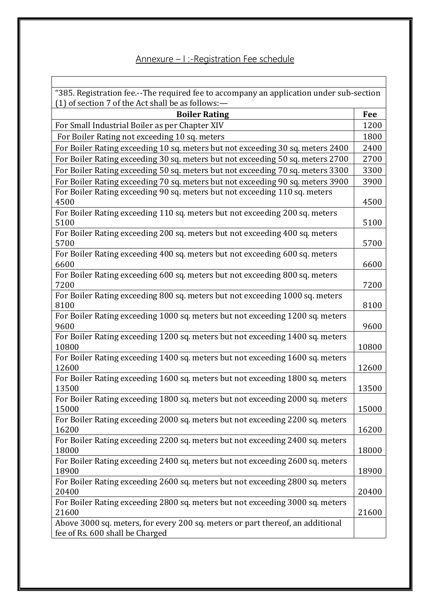# Annexure – I :-Registration Fee schedule

"385. Registration fee.--The required fee to accompany an application under sub-section (1) of section 7 of the Act shall be as follows:—

| <b>Boiler Rating</b>                                                                                              | Fee   |
|-------------------------------------------------------------------------------------------------------------------|-------|
| For Small Industrial Boiler as per Chapter XIV                                                                    | 1200  |
| For Boiler Rating not exceeding 10 sq. meters                                                                     | 1800  |
| For Boiler Rating exceeding 10 sq. meters but not exceeding 30 sq. meters 2400                                    | 2400  |
| For Boiler Rating exceeding 30 sq. meters but not exceeding 50 sq. meters 2700                                    | 2700  |
| For Boiler Rating exceeding 50 sq. meters but not exceeding 70 sq. meters 3300                                    | 3300  |
| For Boiler Rating exceeding 70 sq. meters but not exceeding 90 sq. meters 3900                                    | 3900  |
| For Boiler Rating exceeding 90 sq. meters but not exceeding 110 sq. meters<br>4500                                | 4500  |
| For Boiler Rating exceeding 110 sq. meters but not exceeding 200 sq. meters<br>5100                               | 5100  |
| For Boiler Rating exceeding 200 sq. meters but not exceeding 400 sq. meters<br>5700                               | 5700  |
| For Boiler Rating exceeding 400 sq. meters but not exceeding 600 sq. meters<br>6600                               | 6600  |
| For Boiler Rating exceeding 600 sq. meters but not exceeding 800 sq. meters<br>7200                               | 7200  |
| For Boiler Rating exceeding 800 sq. meters but not exceeding 1000 sq. meters<br>8100                              | 8100  |
| For Boiler Rating exceeding 1000 sq. meters but not exceeding 1200 sq. meters<br>9600                             | 9600  |
| For Boiler Rating exceeding 1200 sq. meters but not exceeding 1400 sq. meters<br>10800                            | 10800 |
| For Boiler Rating exceeding 1400 sq. meters but not exceeding 1600 sq. meters<br>12600                            | 12600 |
| For Boiler Rating exceeding 1600 sq. meters but not exceeding 1800 sq. meters<br>13500                            | 13500 |
| For Boiler Rating exceeding 1800 sq. meters but not exceeding 2000 sq. meters<br>15000                            | 15000 |
| For Boiler Rating exceeding 2000 sq. meters but not exceeding 2200 sq. meters<br>16200                            | 16200 |
| For Boiler Rating exceeding 2200 sq. meters but not exceeding 2400 sq. meters<br>18000                            | 18000 |
| For Boiler Rating exceeding 2400 sq. meters but not exceeding 2600 sq. meters<br>18900                            | 18900 |
| For Boiler Rating exceeding 2600 sq. meters but not exceeding 2800 sq. meters<br>20400                            | 20400 |
| For Boiler Rating exceeding 2800 sq. meters but not exceeding 3000 sq. meters<br>21600                            | 21600 |
| Above 3000 sq. meters, for every 200 sq. meters or part thereof, an additional<br>fee of Rs. 600 shall be Charged |       |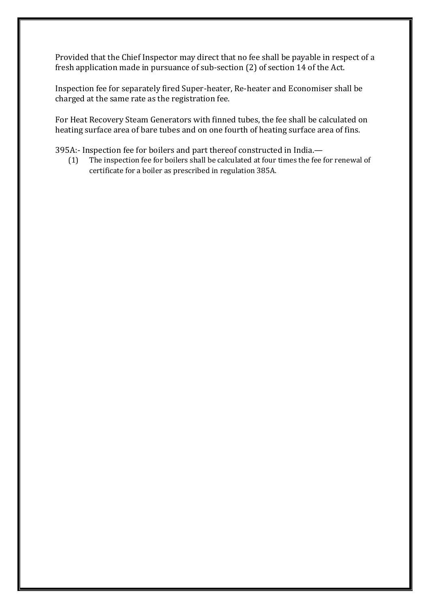Provided that the Chief Inspector may direct that no fee shall be payable in respect of a fresh application made in pursuance of sub-section (2) of section 14 of the Act.

Inspection fee for separately fired Super-heater, Re-heater and Economiser shall be charged at the same rate as the registration fee.

For Heat Recovery Steam Generators with finned tubes, the fee shall be calculated on heating surface area of bare tubes and on one fourth of heating surface area of fins.

395A:- Inspection fee for boilers and part thereof constructed in India.—

(1) The inspection fee for boilers shall be calculated at four times the fee for renewal of certificate for a boiler as prescribed in regulation 385A.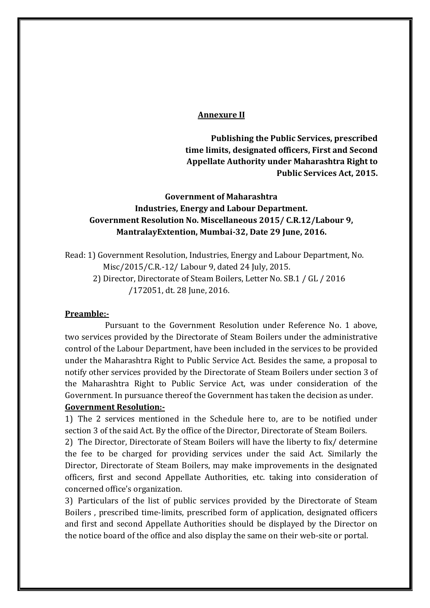#### **Annexure II**

**Publishing the Public Services, prescribed time limits, designated officers, First and Second Appellate Authority under Maharashtra Right to Public Services Act, 2015.**

# **Government of Maharashtra Industries, Energy and Labour Department. Government Resolution No. Miscellaneous 2015/ C.R.12/Labour 9, MantralayExtention, Mumbai-32, Date 29 June, 2016.**

Read: 1) Government Resolution, Industries, Energy and Labour Department, No. Misc/2015/C.R.-12/ Labour 9, dated 24 July, 2015. 2) Director, Directorate of Steam Boilers, Letter No. SB.1 / GL / 2016 /172051, dt. 28 June, 2016.

#### **Preamble:-**

Pursuant to the Government Resolution under Reference No. 1 above, two services provided by the Directorate of Steam Boilers under the administrative control of the Labour Department, have been included in the services to be provided under the Maharashtra Right to Public Service Act. Besides the same, a proposal to notify other services provided by the Directorate of Steam Boilers under section 3 of the Maharashtra Right to Public Service Act, was under consideration of the Government. In pursuance thereof the Government has taken the decision as under. **Government Resolution:-**

1) The 2 services mentioned in the Schedule here to, are to be notified under section 3 of the said Act. By the office of the Director, Directorate of Steam Boilers.

2) The Director, Directorate of Steam Boilers will have the liberty to fix/ determine the fee to be charged for providing services under the said Act. Similarly the Director, Directorate of Steam Boilers, may make improvements in the designated officers, first and second Appellate Authorities, etc. taking into consideration of concerned office's organization.

3) Particulars of the list of public services provided by the Directorate of Steam Boilers , prescribed time-limits, prescribed form of application, designated officers and first and second Appellate Authorities should be displayed by the Director on the notice board of the office and also display the same on their web-site or portal.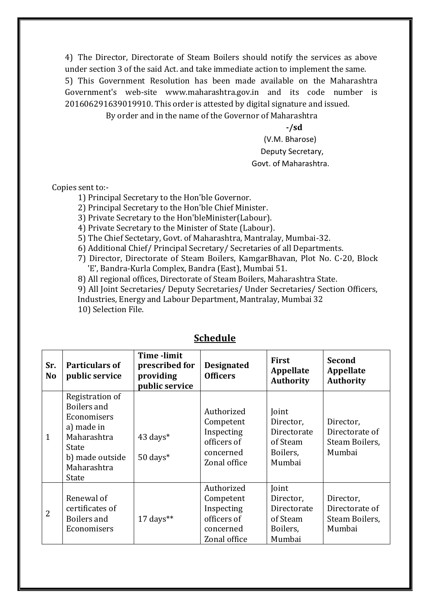4) The Director, Directorate of Steam Boilers should notify the services as above under section 3 of the said Act. and take immediate action to implement the same. 5) This Government Resolution has been made available on the Maharashtra Government's web-site www.maharashtra.gov.in and its code number is 201606291639019910. This order is attested by digital signature and issued.

By order and in the name of the Governor of Maharashtra

**-/sd** (V.M. Bharose) Deputy Secretary, Govt. of Maharashtra.

Copies sent to:-

1) Principal Secretary to the Hon'ble Governor.

2) Principal Secretary to the Hon'ble Chief Minister.

3) Private Secretary to the Hon'bleMinister(Labour).

4) Private Secretary to the Minister of State (Labour).

5) The Chief Sectetary, Govt. of Maharashtra, Mantralay, Mumbai-32.

6) Additional Chief/ Principal Secretary/ Secretaries of all Departments.

7) Director, Directorate of Steam Boilers, KamgarBhavan, Plot No. C-20, Block 'E', Bandra-Kurla Complex, Bandra (East), Mumbai 51.

8) All regional offices, Directorate of Steam Boilers, Maharashtra State.

9) All Joint Secretaries/ Deputy Secretaries/ Under Secretaries/ Section Officers,

Industries, Energy and Labour Department, Mantralay, Mumbai 32

10) Selection File.

| Sr.<br><b>No</b> | <b>Particulars of</b><br>public service                                                                                        | <b>Time</b> -limit<br>prescribed for<br>providing<br>public service | <b>Designated</b><br><b>Officers</b>                                              | <b>First</b><br>Appellate<br><b>Authority</b>                       | <b>Second</b><br>Appellate<br><b>Authority</b>          |
|------------------|--------------------------------------------------------------------------------------------------------------------------------|---------------------------------------------------------------------|-----------------------------------------------------------------------------------|---------------------------------------------------------------------|---------------------------------------------------------|
| $\mathbf{1}$     | Registration of<br>Boilers and<br>Economisers<br>a) made in<br>Maharashtra<br>State<br>b) made outside<br>Maharashtra<br>State | 43 days*<br>$50 \text{ days}^*$                                     | Authorized<br>Competent<br>Inspecting<br>officers of<br>concerned<br>Zonal office | Joint<br>Director,<br>Directorate<br>of Steam<br>Boilers,<br>Mumbai | Director,<br>Directorate of<br>Steam Boilers,<br>Mumbai |
| 2                | Renewal of<br>certificates of<br>Boilers and<br>Economisers                                                                    | $17 \text{ days}$ **                                                | Authorized<br>Competent<br>Inspecting<br>officers of<br>concerned<br>Zonal office | Joint<br>Director,<br>Directorate<br>of Steam<br>Boilers,<br>Mumbai | Director,<br>Directorate of<br>Steam Boilers,<br>Mumbai |

# **Schedule**